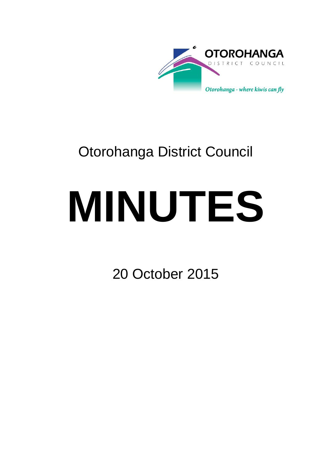

# Otorohanga District Council

# **MINUTES**

20 October 2015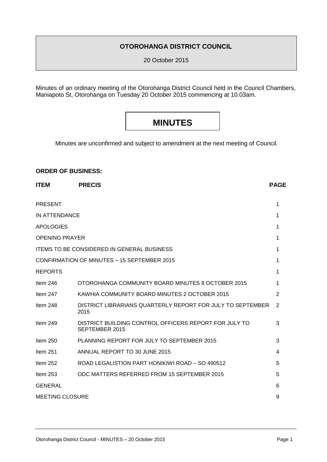### **OTOROHANGA DISTRICT COUNCIL**

20 October 2015

Minutes of an ordinary meeting of the Otorohanga District Council held in the Council Chambers, Maniapoto St, Otorohanga on Tuesday 20 October 2015 commencing at 10.03am.

## **MINUTES**

Minutes are unconfirmed and subject to amendment at the next meeting of Council.

#### **ORDER OF BUSINESS:**

| <b>ITEM</b>            | <b>PRECIS</b>                                                           | <b>PAGE</b> |  |
|------------------------|-------------------------------------------------------------------------|-------------|--|
| <b>PRESENT</b>         |                                                                         | 1           |  |
| IN ATTENDANCE          |                                                                         | 1           |  |
| <b>APOLOGIES</b>       |                                                                         | 1           |  |
| <b>OPENING PRAYER</b>  |                                                                         | 1           |  |
|                        | <b>ITEMS TO BE CONSIDERED IN GENERAL BUSINESS</b>                       | 1           |  |
|                        | CONFIRMATION OF MINUTES - 15 SEPTEMBER 2015                             | 1           |  |
| <b>REPORTS</b>         |                                                                         | 1           |  |
| Item $246$             | OTOROHANGA COMMUNITY BOARD MINUTES 8 OCTOBER 2015                       | 1           |  |
| Item $247$             | KAWHIA COMMUNITY BOARD MINUTES 2 OCTOBER 2015                           | 2           |  |
| Item 248               | DISTRICT LIBRARIANS QUARTERLY REPORT FOR JULY TO SEPTEMBER<br>2015      | 2           |  |
| Item $249$             | DISTRICT BUILDING CONTROL OFFICERS REPORT FOR JULY TO<br>SEPTEMBER 2015 | 3           |  |
| Item $250$             | PLANNING REPORT FOR JULY TO SEPTEMBER 2015                              | 3           |  |
| Item $251$             | ANNUAL REPORT TO 30 JUNE 2015                                           | 4           |  |
| Item $252$             | ROAD LEGALISTION PART HONIKIWI ROAD - SO 490512                         | 5           |  |
| Item $253$             | ODC MATTERS REFERRED FROM 15 SEPTEMBER 2015                             | 5           |  |
| <b>GENERAL</b>         |                                                                         | 6           |  |
| <b>MEETING CLOSURE</b> |                                                                         |             |  |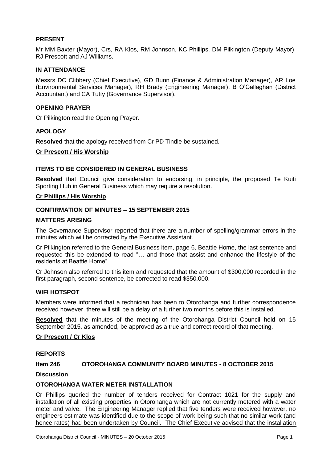#### **PRESENT**

Mr MM Baxter (Mayor), Crs, RA Klos, RM Johnson, KC Phillips, DM Pilkington (Deputy Mayor), RJ Prescott and AJ Williams.

#### **IN ATTENDANCE**

Messrs DC Clibbery (Chief Executive), GD Bunn (Finance & Administration Manager), AR Loe (Environmental Services Manager), RH Brady (Engineering Manager), B O'Callaghan (District Accountant) and CA Tutty (Governance Supervisor).

#### **OPENING PRAYER**

Cr Pilkington read the Opening Prayer.

#### **APOLOGY**

**Resolved** that the apology received from Cr PD Tindle be sustained.

#### **Cr Prescott / His Worship**

#### **ITEMS TO BE CONSIDERED IN GENERAL BUSINESS**

**Resolved** that Council give consideration to endorsing, in principle, the proposed Te Kuiti Sporting Hub in General Business which may require a resolution.

#### **Cr Phillips / His Worship**

#### **CONFIRMATION OF MINUTES – 15 SEPTEMBER 2015**

#### **MATTERS ARISING**

The Governance Supervisor reported that there are a number of spelling/grammar errors in the minutes which will be corrected by the Executive Assistant.

Cr Pilkington referred to the General Business item, page 6, Beattie Home, the last sentence and requested this be extended to read "… and those that assist and enhance the lifestyle of the residents at Beattie Home".

Cr Johnson also referred to this item and requested that the amount of \$300,000 recorded in the first paragraph, second sentence, be corrected to read \$350,000.

#### **WIFI HOTSPOT**

Members were informed that a technician has been to Otorohanga and further correspondence received however, there will still be a delay of a further two months before this is installed.

**Resolved** that the minutes of the meeting of the Otorohanga District Council held on 15 September 2015, as amended, be approved as a true and correct record of that meeting.

#### **Cr Prescott / Cr Klos**

#### **REPORTS**

#### **Item 246 OTOROHANGA COMMUNITY BOARD MINUTES - 8 OCTOBER 2015**

**Discussion** 

#### **OTOROHANGA WATER METER INSTALLATION**

Cr Phillips queried the number of tenders received for Contract 1021 for the supply and installation of all existing properties in Otorohanga which are not currently metered with a water meter and valve. The Engineering Manager replied that five tenders were received however, no engineers estimate was identified due to the scope of work being such that no similar work (and hence rates) had been undertaken by Council. The Chief Executive advised that the installation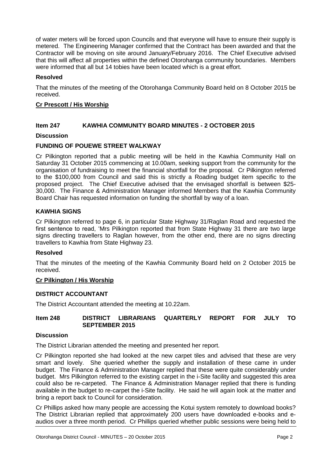of water meters will be forced upon Councils and that everyone will have to ensure their supply is metered. The Engineering Manager confirmed that the Contract has been awarded and that the Contractor will be moving on site around January/February 2016. The Chief Executive advised that this will affect all properties within the defined Otorohanga community boundaries. Members were informed that all but 14 tobies have been located which is a great effort.

#### **Resolved**

That the minutes of the meeting of the Otorohanga Community Board held on 8 October 2015 be received.

#### **Cr Prescott / His Worship**

#### **Item 247 KAWHIA COMMUNITY BOARD MINUTES - 2 OCTOBER 2015**

#### **Discussion**

#### **FUNDING OF POUEWE STREET WALKWAY**

Cr Pilkington reported that a public meeting will be held in the Kawhia Community Hall on Saturday 31 October 2015 commencing at 10.00am, seeking support from the community for the organisation of fundraising to meet the financial shortfall for the proposal. Cr Pilkington referred to the \$100,000 from Council and said this is strictly a Roading budget item specific to the proposed project. The Chief Executive advised that the envisaged shortfall is between \$25- 30,000. The Finance & Administration Manager informed Members that the Kawhia Community Board Chair has requested information on funding the shortfall by way of a loan.

#### **KAWHIA SIGNS**

Cr Pilkington referred to page 6, in particular State Highway 31/Raglan Road and requested the first sentence to read, 'Mrs Pilkington reported that from State Highway 31 there are two large signs directing travellers to Raglan however, from the other end, there are no signs directing travellers to Kawhia from State Highway 23.

#### **Resolved**

That the minutes of the meeting of the Kawhia Community Board held on 2 October 2015 be received.

#### **Cr Pilkington / His Worship**

#### **DISTRICT ACCOUNTANT**

The District Accountant attended the meeting at 10.22am.

#### **Item 248 DISTRICT LIBRARIANS QUARTERLY REPORT FOR JULY TO SEPTEMBER 2015**

#### **Discussion**

The District Librarian attended the meeting and presented her report.

Cr Pilkington reported she had looked at the new carpet tiles and advised that these are very smart and lovely. She queried whether the supply and installation of these came in under budget. The Finance & Administration Manager replied that these were quite considerably under budget. Mrs Pilkington referred to the existing carpet in the i-Site facility and suggested this area could also be re-carpeted. The Finance & Administration Manager replied that there is funding available in the budget to re-carpet the i-Site facility. He said he will again look at the matter and bring a report back to Council for consideration.

Cr Phillips asked how many people are accessing the Kotui system remotely to download books? The District Librarian replied that approximately 200 users have downloaded e-books and eaudios over a three month period. Cr Phillips queried whether public sessions were being held to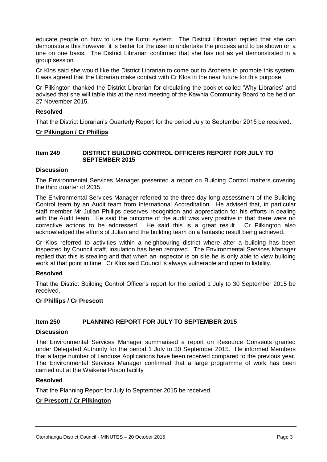educate people on how to use the Kotui system. The District Librarian replied that she can demonstrate this however, it is better for the user to undertake the process and to be shown on a one on one basis. The District Librarian confirmed that she has not as yet demonstrated in a group session.

Cr Klos said she would like the District Librarian to come out to Arohena to promote this system. It was agreed that the Librarian make contact with Cr Klos in the near future for this purpose.

Cr Pilkington thanked the District Librarian for circulating the booklet called 'Why Libraries' and advised that she will table this at the next meeting of the Kawhia Community Board to be held on 27 November 2015.

#### **Resolved**

That the District Librarian's Quarterly Report for the period July to September 2015 be received.

#### **Cr Pilkington / Cr Phillips**

#### **Item 249 DISTRICT BUILDING CONTROL OFFICERS REPORT FOR JULY TO SEPTEMBER 2015**

#### **Discussion**

The Environmental Services Manager presented a report on Building Control matters covering the third quarter of 2015.

The Environmental Services Manager referred to the three day long assessment of the Building Control team by an Audit team from International Accreditation. He advised that, in particular staff member Mr Julian Phillips deserves recognition and appreciation for his efforts in dealing with the Audit team. He said the outcome of the audit was very positive in that there were no corrective actions to be addressed. He said this is a great result. Cr Pilkington also acknowledged the efforts of Julian and the building team on a fantastic result being achieved.

Cr Klos referred to activities within a neighbouring district where after a building has been inspected by Council staff, insulation has been removed. The Environmental Services Manager replied that this is stealing and that when an inspector is on site he is only able to view building work at that point in time. Cr Klos said Council is always vulnerable and open to liability.

#### **Resolved**

That the District Building Control Officer's report for the period 1 July to 30 September 2015 be received.

#### **Cr Phillips / Cr Prescott**

#### **Item 250 PLANNING REPORT FOR JULY TO SEPTEMBER 2015**

#### **Discussion**

The Environmental Services Manager summarised a report on Resource Consents granted under Delegated Authority for the period 1 July to 30 September 2015. He informed Members that a large number of Landuse Applications have been received compared to the previous year. The Environmental Services Manager confirmed that a large programme of work has been carried out at the Waikeria Prison facility

#### **Resolved**

That the Planning Report for July to September 2015 be received.

#### **Cr Prescott / Cr Pilkington**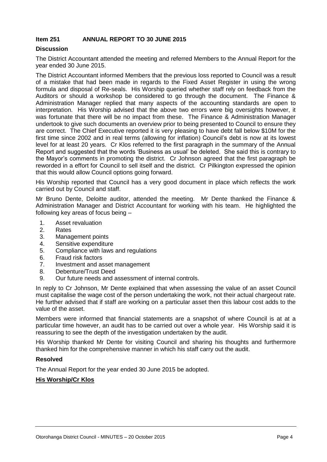#### **Item 251 ANNUAL REPORT TO 30 JUNE 2015**

#### **Discussion**

The District Accountant attended the meeting and referred Members to the Annual Report for the year ended 30 June 2015.

The District Accountant informed Members that the previous loss reported to Council was a result of a mistake that had been made in regards to the Fixed Asset Register in using the wrong formula and disposal of Re-seals. His Worship queried whether staff rely on feedback from the Auditors or should a workshop be considered to go through the document. The Finance & Administration Manager replied that many aspects of the accounting standards are open to interpretation. His Worship advised that the above two errors were big oversights however, it was fortunate that there will be no impact from these. The Finance & Administration Manager undertook to give such documents an overview prior to being presented to Council to ensure they are correct. The Chief Executive reported it is very pleasing to have debt fall below \$10M for the first time since 2002 and in real terms (allowing for inflation) Council's debt is now at its lowest level for at least 20 years. Cr Klos referred to the first paragraph in the summary of the Annual Report and suggested that the words 'Business as usual' be deleted. She said this is contrary to the Mayor's comments in promoting the district. Cr Johnson agreed that the first paragraph be reworded in a effort for Council to sell itself and the district. Cr Pilkington expressed the opinion that this would allow Council options going forward.

His Worship reported that Council has a very good document in place which reflects the work carried out by Council and staff.

Mr Bruno Dente, Deloitte auditor, attended the meeting. Mr Dente thanked the Finance & Administration Manager and District Accountant for working with his team. He highlighted the following key areas of focus being –

- 1. Asset revaluation
- 2. Rates
- 3. Management points
- 4. Sensitive expenditure
- 5. Compliance with laws and regulations
- 6. Fraud risk factors
- 7. Investment and asset management
- 8. Debenture/Trust Deed
- 9. Our future needs and assessment of internal controls.

In reply to Cr Johnson, Mr Dente explained that when assessing the value of an asset Council must capitalise the wage cost of the person undertaking the work, not their actual chargeout rate. He further advised that if staff are working on a particular asset then this labour cost adds to the value of the asset.

Members were informed that financial statements are a snapshot of where Council is at at a particular time however, an audit has to be carried out over a whole year. His Worship said it is reassuring to see the depth of the investigation undertaken by the audit.

His Worship thanked Mr Dente for visiting Council and sharing his thoughts and furthermore thanked him for the comprehensive manner in which his staff carry out the audit.

#### **Resolved**

The Annual Report for the year ended 30 June 2015 be adopted.

#### **His Worship/Cr Klos**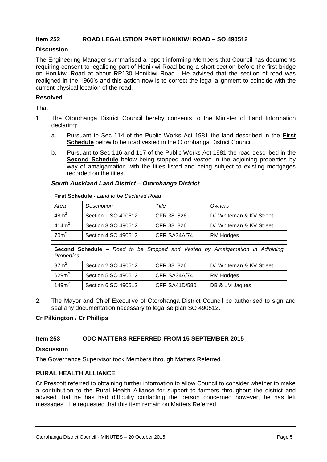#### **Item 252 ROAD LEGALISTION PART HONIKIWI ROAD – SO 490512**

#### **Discussion**

The Engineering Manager summarised a report informing Members that Council has documents requiring consent to legalising part of Honikiwi Road being a short section before the first bridge on Honikiwi Road at about RP130 Honikiwi Road. He advised that the section of road was realigned in the 1960's and this action now is to correct the legal alignment to coincide with the current physical location of the road.

#### **Resolved**

That

- 1. The Otorohanga District Council hereby consents to the Minister of Land Information declaring:
	- a. Pursuant to Sec 114 of the Public Works Act 1981 the land described in the **First Schedule** below to be road vested in the Otorohanga District Council.
	- b. Pursuant to Sec 116 and 117 of the Public Works Act 1981 the road described in the **Second Schedule** below being stopped and vested in the adjoining properties by way of amalgamation with the titles listed and being subject to existing mortgages recorded on the titles.

| <b>First Schedule</b> - Land to be Declared Road                                                  |                     |              |                         |  |  |  |  |
|---------------------------------------------------------------------------------------------------|---------------------|--------------|-------------------------|--|--|--|--|
| Area                                                                                              | Description         | Title        | Owners                  |  |  |  |  |
| 48m <sup>2</sup>                                                                                  | Section 1 SO 490512 | CFR 381826   | DJ Whiteman & KV Street |  |  |  |  |
| 414m <sup>2</sup>                                                                                 | Section 3 SO 490512 | CFR 381826   | DJ Whiteman & KV Street |  |  |  |  |
| 70 <sup>m²</sup>                                                                                  | Section 4 SO 490512 | CFR SA34A/74 | <b>RM Hodges</b>        |  |  |  |  |
|                                                                                                   |                     |              |                         |  |  |  |  |
| Second Schedule - Road to be Stopped and Vested by Amalgamation in Adjoining<br><b>Properties</b> |                     |              |                         |  |  |  |  |

#### *South Auckland Land District – Otorohanga District*

| 149m <sup>2</sup> | Section 6 SO 490512                                          | CFR SA41D/580 | DB & LM Jaques                                                                         |  |
|-------------------|--------------------------------------------------------------|---------------|----------------------------------------------------------------------------------------|--|
|                   |                                                              |               | The Mayor and Chief Executive of Otorohanga District Council be authorised to sign and |  |
|                   | seal any documentation necessary to legalise plan SO 490512. |               |                                                                                        |  |

Section 5 SO 490512 | CFR SA34A/74 | RM Hodges

Section 2 SO 490512 | CFR 381826 | DJ Whiteman & KV Street

#### **Cr Pilkington / Cr Phillips**

87m 2

 $629m<sup>2</sup>$ 

#### **Item 253 ODC MATTERS REFERRED FROM 15 SEPTEMBER 2015**

#### **Discussion**

The Governance Supervisor took Members through Matters Referred.

#### **RURAL HEALTH ALLIANCE**

Cr Prescott referred to obtaining further information to allow Council to consider whether to make a contribution to the Rural Health Alliance for support to farmers throughout the district and advised that he has had difficulty contacting the person concerned however, he has left messages. He requested that this item remain on Matters Referred.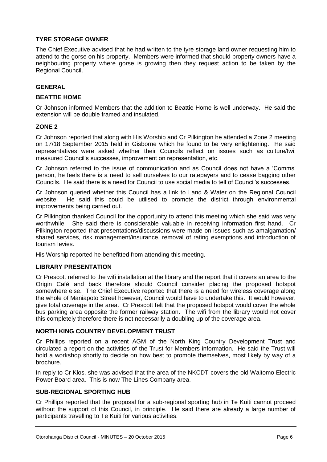#### **TYRE STORAGE OWNER**

The Chief Executive advised that he had written to the tyre storage land owner requesting him to attend to the gorse on his property. Members were informed that should property owners have a neighbouring property where gorse is growing then they request action to be taken by the Regional Council.

#### **GENERAL**

#### **BEATTIE HOME**

Cr Johnson informed Members that the addition to Beattie Home is well underway. He said the extension will be double framed and insulated.

#### **ZONE 2**

Cr Johnson reported that along with His Worship and Cr Pilkington he attended a Zone 2 meeting on 17/18 September 2015 held in Gisborne which he found to be very enlightening. He said representatives were asked whether their Councils reflect on issues such as culture/Iwi, measured Council's successes, improvement on representation, etc.

Cr Johnson referred to the issue of communication and as Council does not have a 'Comms' person, he feels there is a need to sell ourselves to our ratepayers and to cease bagging other Councils. He said there is a need for Council to use social media to tell of Council's successes.

Cr Johnson queried whether this Council has a link to Land & Water on the Regional Council website. He said this could be utilised to promote the district through environmental improvements being carried out.

Cr Pilkington thanked Council for the opportunity to attend this meeting which she said was very worthwhile. She said there is considerable valuable in receiving information first hand. Cr Pilkington reported that presentations/discussions were made on issues such as amalgamation/ shared services, risk management/insurance, removal of rating exemptions and introduction of tourism levies.

His Worship reported he benefitted from attending this meeting.

#### **LIBRARY PRESENTATION**

Cr Prescott referred to the wifi installation at the library and the report that it covers an area to the Origin Café and back therefore should Council consider placing the proposed hotspot somewhere else. The Chief Executive reported that there is a need for wireless coverage along the whole of Maniapoto Street however, Council would have to undertake this. It would however, give total coverage in the area. Cr Prescott felt that the proposed hotspot would cover the whole bus parking area opposite the former railway station. The wifi from the library would not cover this completely therefore there is not necessarily a doubling up of the coverage area.

#### **NORTH KING COUNTRY DEVELOPMENT TRUST**

Cr Phillips reported on a recent AGM of the North King Country Development Trust and circulated a report on the activities of the Trust for Members information. He said the Trust will hold a workshop shortly to decide on how best to promote themselves, most likely by way of a brochure.

In reply to Cr Klos, she was advised that the area of the NKCDT covers the old Waitomo Electric Power Board area. This is now The Lines Company area.

#### **SUB-REGIONAL SPORTING HUB**

Cr Phillips reported that the proposal for a sub-regional sporting hub in Te Kuiti cannot proceed without the support of this Council, in principle. He said there are already a large number of participants travelling to Te Kuiti for various activities.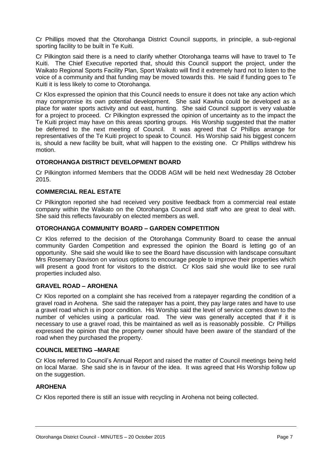Cr Phillips moved that the Otorohanga District Council supports, in principle, a sub-regional sporting facility to be built in Te Kuiti.

Cr Pilkington said there is a need to clarify whether Otorohanga teams will have to travel to Te Kuiti. The Chief Executive reported that, should this Council support the project, under the Waikato Regional Sports Facility Plan, Sport Waikato will find it extremely hard not to listen to the voice of a community and that funding may be moved towards this. He said if funding goes to Te Kuiti it is less likely to come to Otorohanga.

Cr Klos expressed the opinion that this Council needs to ensure it does not take any action which may compromise its own potential development. She said Kawhia could be developed as a place for water sports activity and out east, hunting. She said Council support is very valuable for a project to proceed. Cr Pilkington expressed the opinion of uncertainty as to the impact the Te Kuiti project may have on this areas sporting groups. His Worship suggested that the matter be deferred to the next meeting of Council. It was agreed that Cr Phillips arrange for representatives of the Te Kuiti project to speak to Council. His Worship said his biggest concern is, should a new facility be built, what will happen to the existing one. Cr Phillips withdrew his motion.

#### **OTOROHANGA DISTRICT DEVELOPMENT BOARD**

Cr Pilkington informed Members that the ODDB AGM will be held next Wednesday 28 October 2015.

#### **COMMERCIAL REAL ESTATE**

Cr Pilkington reported she had received very positive feedback from a commercial real estate company within the Waikato on the Otorohanga Council and staff who are great to deal with. She said this reflects favourably on elected members as well.

#### **OTOROHANGA COMMUNITY BOARD – GARDEN COMPETITION**

Cr Klos referred to the decision of the Otorohanga Community Board to cease the annual community Garden Competition and expressed the opinion the Board is letting go of an opportunity. She said she would like to see the Board have discussion with landscape consultant Mrs Rosemary Davison on various options to encourage people to improve their properties which will present a good front for visitors to the district. Cr Klos said she would like to see rural properties included also.

#### **GRAVEL ROAD – AROHENA**

Cr Klos reported on a complaint she has received from a ratepayer regarding the condition of a gravel road in Arohena. She said the ratepayer has a point, they pay large rates and have to use a gravel road which is in poor condition. His Worship said the level of service comes down to the number of vehicles using a particular road. The view was generally accepted that if it is necessary to use a gravel road, this be maintained as well as is reasonably possible. Cr Phillips expressed the opinion that the property owner should have been aware of the standard of the road when they purchased the property.

#### **COUNCIL MEETING –MARAE**

Cr Klos referred to Council's Annual Report and raised the matter of Council meetings being held on local Marae. She said she is in favour of the idea. It was agreed that His Worship follow up on the suggestion.

#### **AROHENA**

Cr Klos reported there is still an issue with recycling in Arohena not being collected.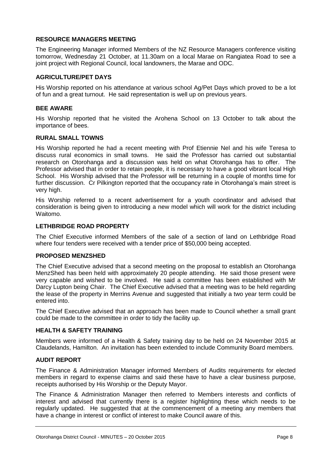#### **RESOURCE MANAGERS MEETING**

The Engineering Manager informed Members of the NZ Resource Managers conference visiting tomorrow, Wednesday 21 October, at 11.30am on a local Marae on Rangiatea Road to see a joint project with Regional Council, local landowners, the Marae and ODC.

#### **AGRICULTURE/PET DAYS**

His Worship reported on his attendance at various school Ag/Pet Days which proved to be a lot of fun and a great turnout. He said representation is well up on previous years.

#### **BEE AWARE**

His Worship reported that he visited the Arohena School on 13 October to talk about the importance of bees.

#### **RURAL SMALL TOWNS**

His Worship reported he had a recent meeting with Prof Etiennie Nel and his wife Teresa to discuss rural economics in small towns. He said the Professor has carried out substantial research on Otorohanga and a discussion was held on what Otorohanga has to offer. The Professor advised that in order to retain people, it is necessary to have a good vibrant local High School. His Worship advised that the Professor will be returning in a couple of months time for further discussion. Cr Pilkington reported that the occupancy rate in Otorohanga's main street is very high.

His Worship referred to a recent advertisement for a youth coordinator and advised that consideration is being given to introducing a new model which will work for the district including Waitomo.

#### **LETHBRIDGE ROAD PROPERTY**

The Chief Executive informed Members of the sale of a section of land on Lethbridge Road where four tenders were received with a tender price of \$50,000 being accepted.

#### **PROPOSED MENZSHED**

The Chief Executive advised that a second meeting on the proposal to establish an Otorohanga MenzShed has been held with approximately 20 people attending. He said those present were very capable and wished to be involved. He said a committee has been established with Mr Darcy Lupton being Chair. The Chief Executive advised that a meeting was to be held regarding the lease of the property in Merrins Avenue and suggested that initially a two year term could be entered into.

The Chief Executive advised that an approach has been made to Council whether a small grant could be made to the committee in order to tidy the facility up.

#### **HEALTH & SAFETY TRAINING**

Members were informed of a Health & Safety training day to be held on 24 November 2015 at Claudelands, Hamilton. An invitation has been extended to include Community Board members.

#### **AUDIT REPORT**

The Finance & Administration Manager informed Members of Audits requirements for elected members in regard to expense claims and said these have to have a clear business purpose, receipts authorised by His Worship or the Deputy Mayor.

The Finance & Administration Manager then referred to Members interests and conflicts of interest and advised that currently there is a register highlighting these which needs to be regularly updated. He suggested that at the commencement of a meeting any members that have a change in interest or conflict of interest to make Council aware of this.